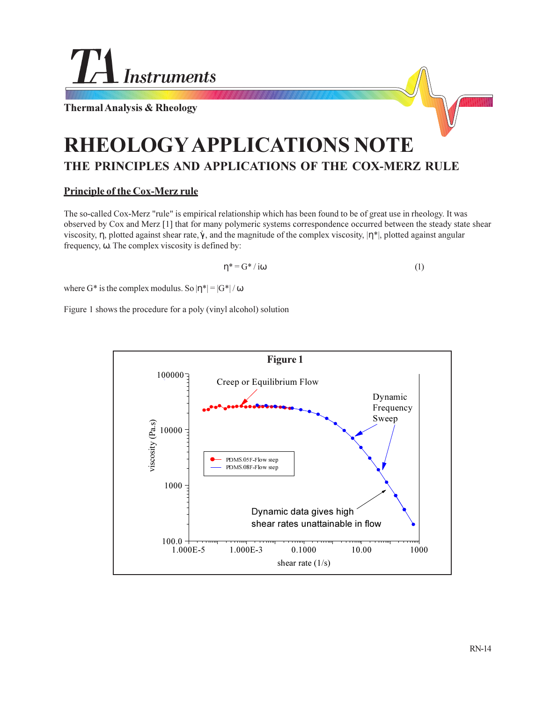

**Thermal Analysis & Rheology**

# **RHEOLOGY APPLICATIONS NOTE THE PRINCIPLES AND APPLICATIONS OF THE COX-MERZ RULE**

## **Principle of the Cox-Merz rule**

The so-called Cox-Merz "rule" is empirical relationship which has been found to be of great use in rheology. It was observed by Cox and Merz [1] that for many polymeric systems correspondence occurred between the steady state shear viscosity, η, plotted against shear rate,  $\dot{\gamma}$ , and the magnitude of the complex viscosity,  $|\eta^*|$ , plotted against angular frequency, ω. The complex viscosity is defined by:

$$
\eta^* = G^* / i\omega \tag{1}
$$

where G\* is the complex modulus. So  $|\eta^*| = |G^*|/\omega$ 

Figure 1 shows the procedure for a poly (vinyl alcohol) solution

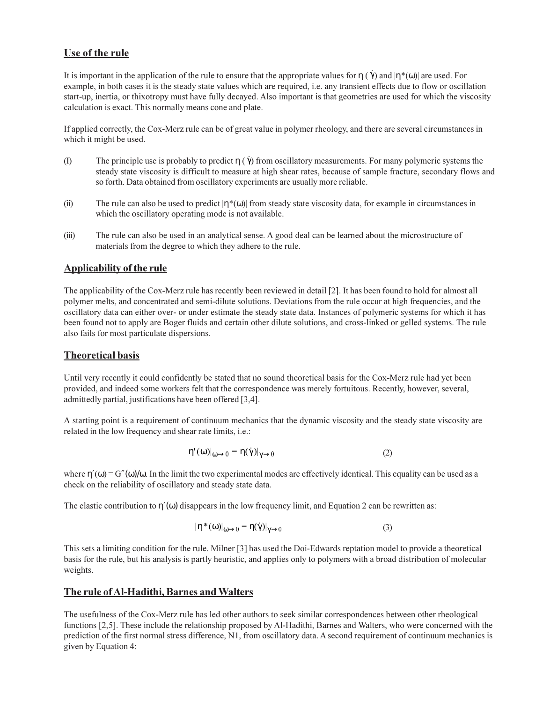## **Use of the rule**

It is important in the application of the rule to ensure that the appropriate values for  $\eta(\vec{\gamma})$  and  $|\eta^*(\omega)|$  are used. For example, in both cases it is the steady state values which are required, i.e. any transient effects due to flow or oscillation start-up, inertia, or thixotropy must have fully decayed. Also important is that geometries are used for which the viscosity calculation is exact. This normally means cone and plate.

If applied correctly, the Cox-Merz rule can be of great value in polymer rheology, and there are several circumstances in which it might be used.

- (I) The principle use is probably to predict  $\eta(\vec{\gamma})$  from oscillatory measurements. For many polymeric systems the steady state viscosity is difficult to measure at high shear rates, because of sample fracture, secondary flows and so forth. Data obtained from oscillatory experiments are usually more reliable.
- (ii) The rule can also be used to predict  $|\eta^*(\omega)|$  from steady state viscosity data, for example in circumstances in which the oscillatory operating mode is not available.
- (iii) The rule can also be used in an analytical sense. A good deal can be learned about the microstructure of materials from the degree to which they adhere to the rule.

## **Applicability of the rule**

The applicability of the Cox-Merz rule has recently been reviewed in detail [2]. It has been found to hold for almost all polymer melts, and concentrated and semi-dilute solutions. Deviations from the rule occur at high frequencies, and the oscillatory data can either over- or under estimate the steady state data. Instances of polymeric systems for which it has been found not to apply are Boger fluids and certain other dilute solutions, and cross-linked or gelled systems. The rule also fails for most particulate dispersions.

## **Theoretical basis**

Until very recently it could confidently be stated that no sound theoretical basis for the Cox-Merz rule had yet been provided, and indeed some workers felt that the correspondence was merely fortuitous. Recently, however, several, admittedly partial, justifications have been offered [3,4].

A starting point is a requirement of continuum mechanics that the dynamic viscosity and the steady state viscosity are related in the low frequency and shear rate limits, i.e.:

$$
\eta'(\omega)|_{\omega \to 0} = \eta(\dot{\gamma})|_{\gamma \to 0}
$$
 (2)

where  $\eta'(\omega) = G''(\omega)/\omega$ . In the limit the two experimental modes are effectively identical. This equality can be used as a check on the reliability of oscillatory and steady state data.

The elastic contribution to  $\eta'(\omega)$  disappears in the low frequency limit, and Equation 2 can be rewritten as:

$$
|\eta^*(\omega)|_{\omega \to 0} = \eta(\dot{\gamma})|_{\gamma \to 0}
$$
 (3)

This sets a limiting condition for the rule. Milner [3] has used the Doi-Edwards reptation model to provide a theoretical basis for the rule, but his analysis is partly heuristic, and applies only to polymers with a broad distribution of molecular weights.

#### **The rule of Al-Hadithi, Barnes and Walters**

The usefulness of the Cox-Merz rule has led other authors to seek similar correspondences between other rheological functions [2,5]. These include the relationship proposed by Al-Hadithi, Barnes and Walters, who were concerned with the prediction of the first normal stress difference, N1, from oscillatory data. A second requirement of continuum mechanics is given by Equation 4: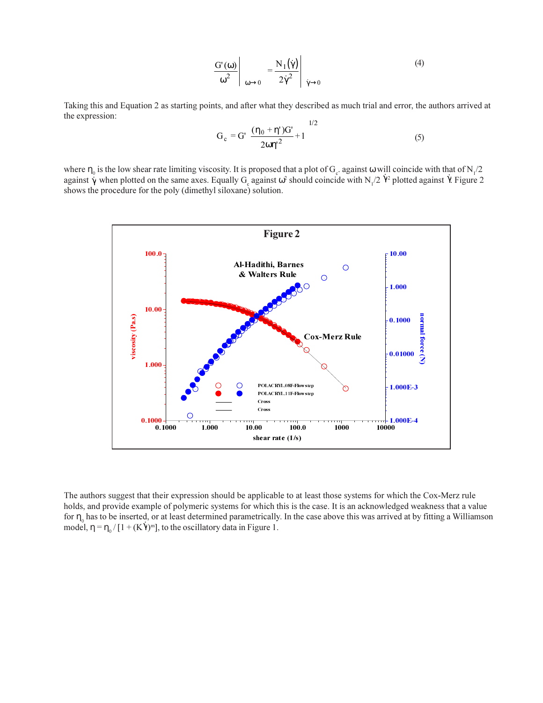$$
\left. \frac{G'(\omega)}{\omega^2} \right|_{\omega \to 0} = \frac{N_1(\dot{\gamma})}{2\dot{\gamma}^2} \left|_{\dot{\gamma} \to 0} \right.
$$
 (4)

Taking this and Equation 2 as starting points, and after what they described as much trial and error, the authors arrived at the expression:

$$
G_c = G' \left[ \frac{(\eta_0 + \eta')G'}{2\omega{\eta'}^2} + 1 \right]^{1/2}
$$
 (5)

where  $\eta_0$  is the low shear rate limiting viscosity. It is proposed that a plot of  $G_c$  against  $\omega$  will coincide with that of N<sub>1</sub>/2 against  $\gamma$  when plotted on the same axes. Equally G<sub>c</sub> against  $\omega^2$  should coincide with N<sub>1</sub>/2  $\gamma^2$  plotted against  $\gamma$ . Figure 2 shows the procedure for the poly (dimethyl siloxane) solution.



The authors suggest that their expression should be applicable to at least those systems for which the Cox-Merz rule holds, and provide example of polymeric systems for which this is the case. It is an acknowledged weakness that a value for  $\eta_0$  has to be inserted, or at least determined parametrically. In the case above this was arrived at by fitting a Williamson model,  $\eta = \eta_0 / [1 + (K\dot{\gamma})^m]$ , to the oscillatory data in Figure 1.